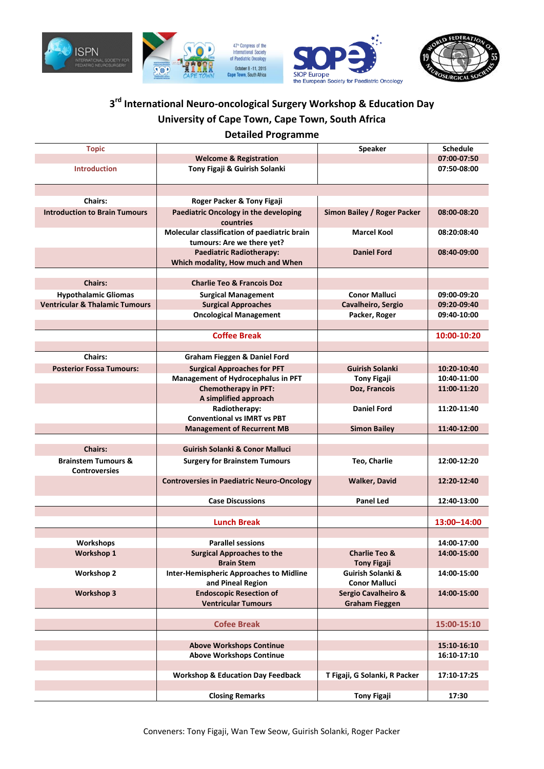





# **3 rd International Neuro-oncological Surgery Workshop & Education Day University of Cape Town, Cape Town, South Africa**

#### **Detailed Programme**

| <b>Topic</b>                              |                                                                                | <b>Speaker</b>                | <b>Schedule</b> |
|-------------------------------------------|--------------------------------------------------------------------------------|-------------------------------|-----------------|
|                                           | <b>Welcome &amp; Registration</b>                                              |                               | 07:00-07:50     |
| <b>Introduction</b>                       | Tony Figaji & Guirish Solanki                                                  |                               | 07:50-08:00     |
|                                           |                                                                                |                               |                 |
|                                           |                                                                                |                               |                 |
| <b>Chairs:</b>                            | Roger Packer & Tony Figaji                                                     |                               |                 |
| <b>Introduction to Brain Tumours</b>      | <b>Paediatric Oncology in the developing</b>                                   | Simon Bailey / Roger Packer   | 08:00-08:20     |
|                                           | countries                                                                      |                               |                 |
|                                           | Molecular classification of paediatric brain                                   | <b>Marcel Kool</b>            | 08:20:08:40     |
|                                           | tumours: Are we there yet?                                                     |                               |                 |
|                                           | <b>Paediatric Radiotherapy:</b>                                                | <b>Daniel Ford</b>            | 08:40-09:00     |
|                                           | Which modality, How much and When                                              |                               |                 |
| <b>Chairs:</b>                            | <b>Charlie Teo &amp; Francois Doz</b>                                          |                               |                 |
| <b>Hypothalamic Gliomas</b>               |                                                                                | <b>Conor Malluci</b>          | 09:00-09:20     |
| <b>Ventricular &amp; Thalamic Tumours</b> | <b>Surgical Management</b><br><b>Surgical Approaches</b><br>Cavalheiro, Sergio |                               | 09:20-09:40     |
|                                           | <b>Oncological Management</b>                                                  | Packer, Roger                 | 09:40-10:00     |
|                                           |                                                                                |                               |                 |
|                                           | <b>Coffee Break</b>                                                            |                               | 10:00-10:20     |
|                                           |                                                                                |                               |                 |
| <b>Chairs:</b>                            | <b>Graham Fieggen &amp; Daniel Ford</b>                                        |                               |                 |
| <b>Posterior Fossa Tumours:</b>           | <b>Surgical Approaches for PFT</b>                                             | <b>Guirish Solanki</b>        | 10:20-10:40     |
|                                           | Management of Hydrocephalus in PFT                                             | <b>Tony Figaji</b>            | 10:40-11:00     |
|                                           | <b>Chemotherapy in PFT:</b>                                                    | Doz, Francois                 | 11:00-11:20     |
|                                           | A simplified approach                                                          |                               |                 |
|                                           | Radiotherapy:                                                                  | <b>Daniel Ford</b>            | 11:20-11:40     |
|                                           | <b>Conventional vs IMRT vs PBT</b>                                             |                               |                 |
|                                           | <b>Management of Recurrent MB</b>                                              | <b>Simon Bailey</b>           | 11:40-12:00     |
|                                           |                                                                                |                               |                 |
| <b>Chairs:</b>                            | <b>Guirish Solanki &amp; Conor Malluci</b>                                     |                               |                 |
| <b>Brainstem Tumours &amp;</b>            | <b>Surgery for Brainstem Tumours</b>                                           | Teo, Charlie                  | 12:00-12:20     |
| <b>Controversies</b>                      |                                                                                |                               |                 |
|                                           | <b>Controversies in Paediatric Neuro-Oncology</b>                              | <b>Walker, David</b>          | 12:20-12:40     |
|                                           | <b>Case Discussions</b>                                                        | <b>Panel Led</b>              |                 |
|                                           |                                                                                |                               | 12:40-13:00     |
|                                           | <b>Lunch Break</b>                                                             |                               | 13:00-14:00     |
|                                           |                                                                                |                               |                 |
| Workshops                                 | <b>Parallel sessions</b>                                                       |                               | 14:00-17:00     |
| <b>Workshop 1</b>                         | <b>Surgical Approaches to the</b>                                              | <b>Charlie Teo &amp;</b>      | 14:00-15:00     |
|                                           | <b>Brain Stem</b>                                                              | <b>Tony Figaji</b>            |                 |
| <b>Workshop 2</b>                         | <b>Inter-Hemispheric Approaches to Midline</b>                                 | Guirish Solanki &             | 14:00-15:00     |
|                                           | and Pineal Region                                                              | <b>Conor Malluci</b>          |                 |
| <b>Workshop 3</b>                         | <b>Endoscopic Resection of</b>                                                 | Sergio Cavalheiro &           | 14:00-15:00     |
|                                           | <b>Ventricular Tumours</b>                                                     | <b>Graham Fieggen</b>         |                 |
|                                           |                                                                                |                               |                 |
|                                           | <b>Cofee Break</b>                                                             |                               | 15:00-15:10     |
|                                           |                                                                                |                               |                 |
|                                           | <b>Above Workshops Continue</b>                                                |                               | 15:10-16:10     |
|                                           | <b>Above Workshops Continue</b>                                                |                               | 16:10-17:10     |
|                                           |                                                                                |                               |                 |
|                                           | <b>Workshop &amp; Education Day Feedback</b>                                   | T Figaji, G Solanki, R Packer | 17:10-17:25     |
|                                           |                                                                                |                               | 17:30           |
|                                           | <b>Closing Remarks</b>                                                         | <b>Tony Figaji</b>            |                 |